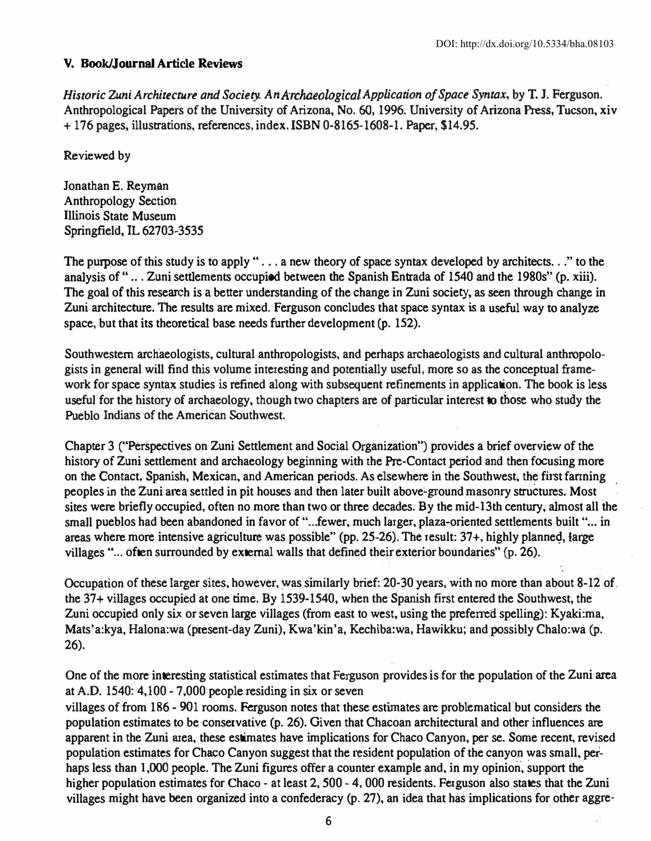## V. Book/Journal Article Reviews

Historic Zuni Architecture and Society. An Archaeological Application of Space Syntax, by T. J. Ferguson. Anthropological Papers of the University of Arizona, No. 60, 1996. University of Arizona Press, Toeson, xiv + 176 pages, illustrations, references, index. ISBN 0-8165-1608-1. Paper, \$14.95.

Reviewed by

Jonathan E. Reyman Anthropology Sectioh lllinois State Museum Springfield, IL 62703-3535

The purpose of this study is to apply "... a new theory of space syntax developed by architects..." to the analysis of "... Zuni settlements occupied between the Spanish Entrada of 1540 and the 1980s" (p. xiii). The goal of this research is a better understanding of the change in Zuni society, as seen through change in Zuni architecture. The results are mixed. Ferguson concludes that space syntax is a useful way to analyze space, but that its theoretical base needs further development (p. 152).

Southwestern archaeologists, cultural anthropologists, and perhaps archaeologists and cultural anthropologists in general will find this volume interesting and potentially useful, more so as the conceptual framework for space syntax studies is refined along with subsequent refinements in application. The book is less useful for the history of archaeology, though two chapters are of particular interest to those who study the Pueblo Indians of the American Southwest.

Chapter 3 ("Perspectives on Zuni Settlement and Social Organization") provides a brief overview of the history of Zuni settlement and archaeology beginning with the Pre-Contact period and then focusing more on the Contact, Spanish, Mexican, and American periods. As elsewhere in the Southwest. the first fanning peoples in the Zuni area settled in pit houses and then later built above-ground masonry structures. Most sites were briefly occupied, often no more than two or three decades. By the mid-13th century. almost all the small pueblos had been abandoned in favor of "...fewer, much larger, plaza-oriented settlements built "... in areas where more intensive agriculture was possible" (pp. 25-26). The result:  $37+$ , highly planned, large villages "... often surrounded by external walls that defined their exterior boundaries"  $(p. 26)$ .

Occupation of these larger sites, however, was similarly brief: 20-30 years, with no more than about 8-12 of. the 37+ villages occupied at one time. By 1539-1540, when the Spanish first entered the Southwest, the Zuni occupied only six or seven large villages (from east to west, using the preferred spelling): Kyaki:ma, Mats'a:kya, Halona:wa (present-day Zuni), Kwa'kin'a, Kechiba:wa, Hawikku; and possibly Chalo:wa (p. 26).

One of the more interesting statistical estimates that Ferguson provides is for the population of the Zuni area atA.D. 1540: 4,100 - 7,000 people residing in six or seven villages of from 186 - 901 rooms. Ferguson notes that these estimates are problematical but considers the popUlation estimates to be conservative (p. 26). Given that Chacoan architectural and other influences are apparent in the Zuni area, these estimates have implications for Chaco Canyon, per se. Some recent, revised population estimates for Chaco Canyon suggest that the resident population of the canyon was small. perhaps less than 1.000 people. The Zuni figures offer a counter example and. in my opinion. support the higher population estimates for Chaco - at least 2, 500 - 4, 000 residents. Ferguson also states that the Zuni villages might have been organized into a confederacy (p. 27), an idea that has implications for other aggre